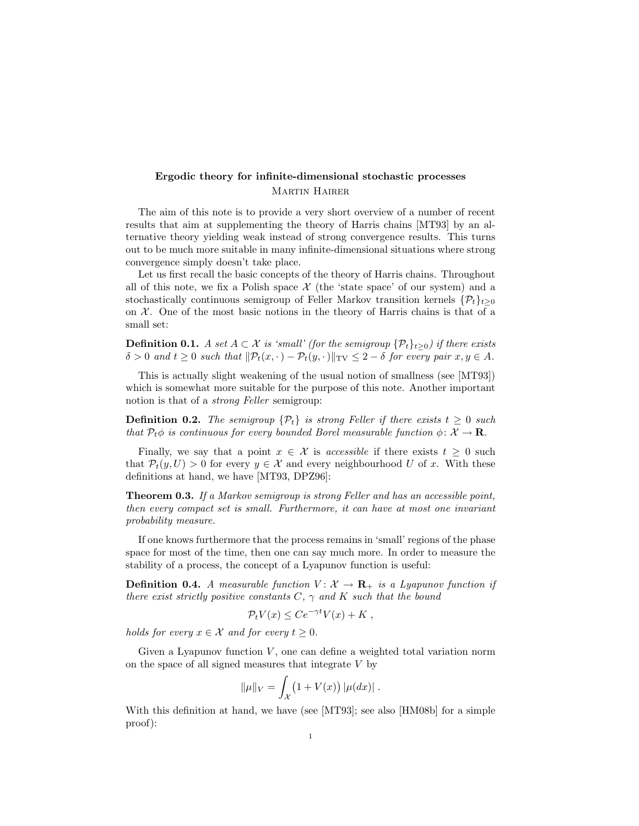## Ergodic theory for infinite-dimensional stochastic processes Martin Hairer

The aim of this note is to provide a very short overview of a number of recent results that aim at supplementing the theory of Harris chains [MT93] by an alternative theory yielding weak instead of strong convergence results. This turns out to be much more suitable in many infinite-dimensional situations where strong convergence simply doesn't take place.

Let us first recall the basic concepts of the theory of Harris chains. Throughout all of this note, we fix a Polish space  $\mathcal X$  (the 'state space' of our system) and a stochastically continuous semigroup of Feller Markov transition kernels  $\{P_t\}_{t>0}$ on  $\mathcal X$ . One of the most basic notions in the theory of Harris chains is that of a small set:

**Definition 0.1.** A set  $A \subset \mathcal{X}$  is 'small' (for the semigroup  $\{\mathcal{P}_t\}_{t\geq 0}$ ) if there exists  $\delta > 0$  and  $t \geq 0$  such that  $\|\mathcal{P}_t(x, \cdot) - \mathcal{P}_t(y, \cdot)\|_{\text{TV}} \leq 2 - \delta$  for every pair  $x, y \in A$ .

This is actually slight weakening of the usual notion of smallness (see [MT93]) which is somewhat more suitable for the purpose of this note. Another important notion is that of a strong Feller semigroup:

**Definition 0.2.** The semigroup  $\{\mathcal{P}_t\}$  is strong Feller if there exists  $t \geq 0$  such that  $P_t \phi$  is continuous for every bounded Borel measurable function  $\phi \colon \mathcal{X} \to \mathbf{R}$ .

Finally, we say that a point  $x \in \mathcal{X}$  is accessible if there exists  $t \geq 0$  such that  $P_t(y, U) > 0$  for every  $y \in \mathcal{X}$  and every neighbourhood U of x. With these definitions at hand, we have [MT93, DPZ96]:

Theorem 0.3. If a Markov semigroup is strong Feller and has an accessible point, then every compact set is small. Furthermore, it can have at most one invariant probability measure.

If one knows furthermore that the process remains in 'small' regions of the phase space for most of the time, then one can say much more. In order to measure the stability of a process, the concept of a Lyapunov function is useful:

**Definition 0.4.** A measurable function  $V: \mathcal{X} \to \mathbf{R}_+$  is a Lyapunov function if there exist strictly positive constants  $C, \gamma$  and  $K$  such that the bound

$$
\mathcal{P}_t V(x) \leq C e^{-\gamma t} V(x) + K ,
$$

holds for every  $x \in \mathcal{X}$  and for every  $t \geq 0$ .

Given a Lyapunov function  $V$ , one can define a weighted total variation norm on the space of all signed measures that integrate  $V$  by

$$
\|\mu\|_V = \int_{\mathcal{X}} (1 + V(x)) |\mu(dx)|.
$$

With this definition at hand, we have (see [MT93]; see also [HM08b] for a simple proof):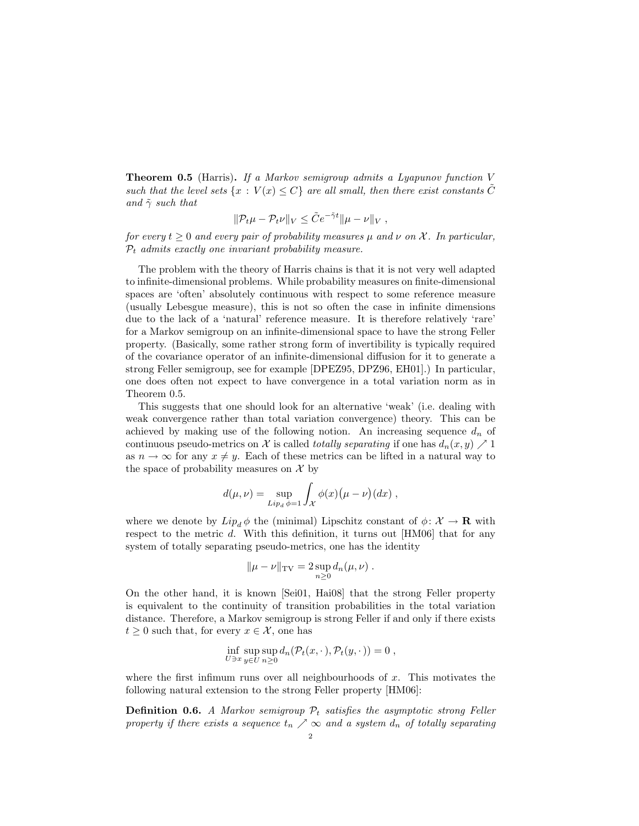**Theorem 0.5** (Harris). If a Markov semigroup admits a Lyapunov function  $V$ such that the level sets  $\{x : V(x) \leq C\}$  are all small, then there exist constants C and  $\tilde{\gamma}$  such that

$$
\|\mathcal{P}_t\mu-\mathcal{P}_t\nu\|_V\leq \tilde{C}e^{-\tilde{\gamma}t}\|\mu-\nu\|_V,
$$

for every  $t \geq 0$  and every pair of probability measures  $\mu$  and  $\nu$  on X. In particular,  $P_t$  admits exactly one invariant probability measure.

The problem with the theory of Harris chains is that it is not very well adapted to infinite-dimensional problems. While probability measures on finite-dimensional spaces are 'often' absolutely continuous with respect to some reference measure (usually Lebesgue measure), this is not so often the case in infinite dimensions due to the lack of a 'natural' reference measure. It is therefore relatively 'rare' for a Markov semigroup on an infinite-dimensional space to have the strong Feller property. (Basically, some rather strong form of invertibility is typically required of the covariance operator of an infinite-dimensional diffusion for it to generate a strong Feller semigroup, see for example [DPEZ95, DPZ96, EH01].) In particular, one does often not expect to have convergence in a total variation norm as in Theorem 0.5.

This suggests that one should look for an alternative 'weak' (i.e. dealing with weak convergence rather than total variation convergence) theory. This can be achieved by making use of the following notion. An increasing sequence  $d_n$  of continuous pseudo-metrics on X is called *totally separating* if one has  $d_n(x, y) \nearrow 1$ as  $n \to \infty$  for any  $x \neq y$ . Each of these metrics can be lifted in a natural way to the space of probability measures on  $\mathcal X$  by

$$
d(\mu, \nu) = \sup_{Lip_d \phi = 1} \int_{\mathcal{X}} \phi(x) (\mu - \nu)(dx) ,
$$

where we denote by  $Lip_d \phi$  the (minimal) Lipschitz constant of  $\phi \colon \mathcal{X} \to \mathbf{R}$  with respect to the metric  $d$ . With this definition, it turns out  $[HMO6]$  that for any system of totally separating pseudo-metrics, one has the identity

$$
\|\mu - \nu\|_{\mathrm{TV}} = 2 \sup_{n \geq 0} d_n(\mu, \nu) .
$$

On the other hand, it is known [Sei01, Hai08] that the strong Feller property is equivalent to the continuity of transition probabilities in the total variation distance. Therefore, a Markov semigroup is strong Feller if and only if there exists  $t \geq 0$  such that, for every  $x \in \mathcal{X}$ , one has

$$
\inf_{U \ni x} \sup_{y \in U} \sup_{n \geq 0} d_n(\mathcal{P}_t(x, \cdot), \mathcal{P}_t(y, \cdot)) = 0,
$$

where the first infimum runs over all neighbourhoods of  $x$ . This motivates the following natural extension to the strong Feller property [HM06]:

**Definition 0.6.** A Markov semigroup  $P_t$  satisfies the asymptotic strong Feller property if there exists a sequence  $t_n \nearrow \infty$  and a system  $d_n$  of totally separating